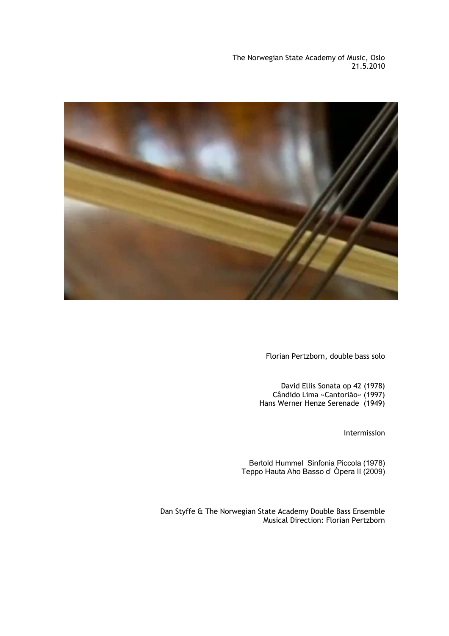The Norwegian State Academy of Music, Oslo 21.5.2010



Florian Pertzborn, double bass solo

David Ellis Sonata op 42 (1978) Cândido Lima »Cantorião« (1997) Hans Werner Henze Serenade (1949)

Intermission

Bertold Hummel Sinfonia Piccola (1978) Teppo Hauta Aho Basso d' Òpera II (2009)

Dan Styffe & The Norwegian State Academy Double Bass Ensemble Musical Direction: Florian Pertzborn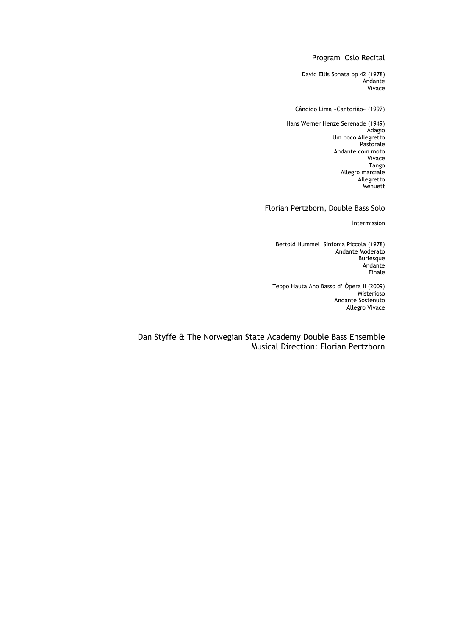# Program Oslo Recital

David Ellis Sonata op 42 (1978) Andante Vivace

### Cândido Lima »Cantorião« (1997)

Hans Werner Henze Serenade (1949) Adagio Um poco Allegretto Pastorale Andante com moto Vivace Tango Allegro marciale Allegretto Menuett

# Florian Pertzborn, Double Bass Solo

Intermission

Bertold Hummel Sinfonia Piccola (1978) Andante Moderato Burlesque Andante Finale

Teppo Hauta Aho Basso d' Òpera II (2009) Misterioso Andante Sostenuto Allegro Vivace

Dan Styffe & The Norwegian State Academy Double Bass Ensemble Musical Direction: Florian Pertzborn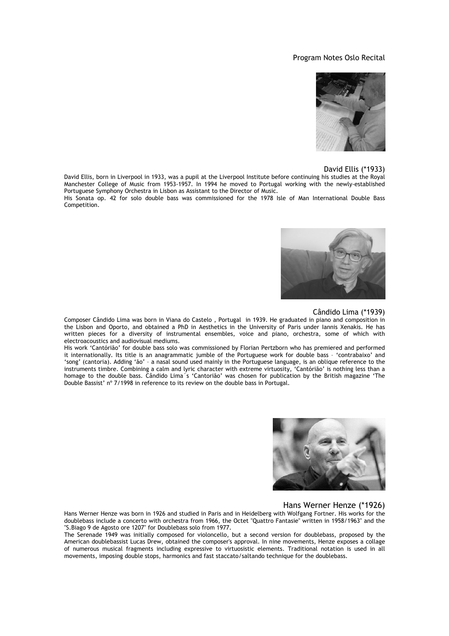## Program Notes Oslo Recital



### David Ellis (\*1933)

David Ellis, born in Liverpool in 1933, was a pupil at the Liverpool Institute before continuing his studies at the Royal Manchester College of Music from 1953-1957. In 1994 he moved to Portugal working with the newly-established Portuguese Symphony Orchestra in Lisbon as Assistant to the Director of Music.

His Sonata op. 42 for solo double bass was commissioned for the 1978 Isle of Man International Double Bass Competition.



## Cândido Lima (\*1939)

Composer Cândido Lima was born in Viana do Castelo , Portugal in 1939. He graduated in piano and composition in the Lisbon and Oporto, and obtained a PhD in Aesthetics in the University of Paris under Iannis Xenakis. He has written pieces for a diversity of instrumental ensembles, voice and piano, orchestra, some of which with electroacoustics and audiovisual mediums.

His work 'Cantórião' for double bass solo was commissioned by Florian Pertzborn who has premiered and performed it internationally. Its title is an anagrammatic jumble of the Portuguese work for double bass – 'contrabaixo' and 'song' (cantoria). Adding 'ão' – a nasal sound used mainly in the Portuguese language, is an oblique reference to the instruments timbre. Combining a calm and lyric character with extreme virtuosity, 'Cantórião' is nothing less than a homage to the double bass. Cândido Lima´s 'Cantorião' was chosen for publication by the British magazine 'The Double Bassist' nº 7/1998 in reference to its review on the double bass in Portugal.



#### Hans Werner Henze (\*1926)

Hans Werner Henze was born in 1926 and studied in Paris and in Heidelberg with Wolfgang Fortner. His works for the doublebass include a concerto with orchestra from 1966, the Octet "Quattro Fantasie" written in 1958/1963" and the "S.Biago 9 de Agosto ore 1207" for Doublebass solo from 1977.

The Serenade 1949 was initially composed for violoncello, but a second version for doublebass, proposed by the American doublebassist Lucas Drew, obtained the composer's approval. In nine movements, Henze exposes a collage of numerous musical fragments including expressive to virtuosistic elements. Traditional notation is used in all movements, imposing double stops, harmonics and fast staccato/saltando technique for the doublebass.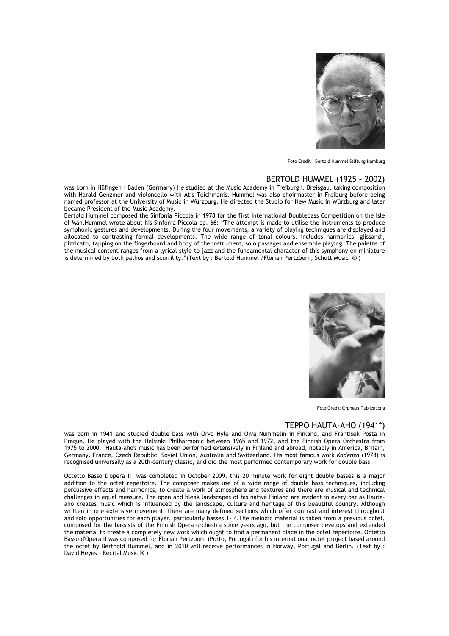

Foto Credit : Bertold Hummel Stiftung Hamburg

## BERTOLD HUMMEL (1925 – 2002)

was born in Hüfingen – Baden (Germany) He studied at the Music Academy in Freiburg i. Breisgau, taking composition with Harald Genzmer and violoncello with Atis Teichmanis. Hummel was also choirmaster in Freiburg before being named professor at the University of Music in Würzburg. He directed the Studio for New Music in Würzburg and later became President of the Music Academy.

Bertold Hummel composed the Sinfonia Piccola in 1978 for the first International Doublebass Competition on the Isle of Man.Hummel wrote about his Sinfonia Piccola op. 66: "The attempt is made to utilise the instruments to produce symphonic gestures and developments. During the four movements, a variety of playing techniques are displayed and allocated to contrasting formal developments. The wide range of tonal colours. includes harmonics, glissandi, pizzicato, tapping on the fingerboard and body of the instrument, solo passages and ensemble playing. The palette of the musical content ranges from a lyrical style to jazz and the fundamental character of this symphony en miniature is determined by both pathos and scurrility."(Text by : Bertold Hummel /Florian Pertzborn, Schott Music ® )



Foto Credit: Orpheus Publications

## TEPPO HAUTA-AHO (1941\*)

was born in 1941 and studied double bass with Orvo Hyle and Oiva Nummelin in Finland, and Frantisek Posta in Prague. He played with the Helsinki Philharmonic between 1965 and 1972, and the Finnish Opera Orchestra from 1975 to 2000. Hauta-aho's music has been performed extensively in Finland and abroad, notably in America, Britain, Germany, France, Czech Republic, Soviet Union, Australia and Switzerland. His most famous work *Kadenza* (1978) is recognised universally as a 20th-century classic, and did the most performed contemporary work for double bass.

Octetto Basso D'opera Ii was completed in October 2009, this 20 minute work for eight double basses is a major addition to the octet repertoire. The composer makes use of a wide range of double bass techniques, including percussive effects and harmonics, to create a work of atmosphere and textures and there are musical and technical challenges in equal measure. The open and bleak landscapes of his native Finland are evident in every bar as Hautaaho creates music which is influenced by the landscape, culture and heritage of this beautiful country. Although written in one extensive movement, there are many defined sections which offer contrast and interest throughout and solo opportunities for each player, particularly basses 1- 4.The melodic material is taken from a previous octet, composed for the bassists of the Finnish Opera orchestra some years ago, but the composer develops and extended the material to create a completely new work which ought to find a permanent place in the octet repertoire. Octetto Basso d'Opera II was composed for Florian Pertzborn (Porto, Portugal) for his international octet project based around the octet by Berthold Hummel, and in 2010 will receive performances in Norway, Portugal and Berlin. (Text by : David Heyes – Recital Music ® )